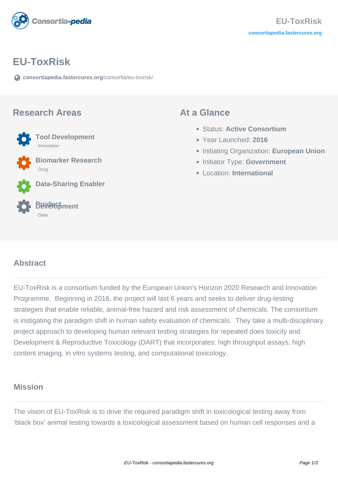

## **EU-ToxRisk**

**[consortiapedia.fastercures.org](https://consortiapedia.fastercures.org/consortia/eu-toxrisk/)**[/consortia/eu-toxrisk/](https://consortiapedia.fastercures.org/consortia/eu-toxrisk/)

#### **Research Areas**



 **Biomarker Research** Drug

**Data-Sharing Enabler**

#### **Product Development** Data

#### **At a Glance**

- Status: **Active Consortium**
- Year Launched: **2016**
- **Initiating Organization: European Union**
- **Initiator Type: Government**
- Location: **International**

#### $\overline{a}$ **Abstract**

EU-ToxRisk is a consortium funded by the European Union's Horizon 2020 Research and Innovation Programme. Beginning in 2016, the project will last 6 years and seeks to deliver drug-testing strategies that enable reliable, animal-free hazard and risk assessment of chemicals. The consortium is instigating the paradigm shift in human safety evaluation of chemicals. They take a multi-disciplinary project approach to developing human relevant testing strategies for repeated does toxicity and Development & Reproductive Toxicology (DART) that incorporates: high throughput assays, high content imaging, in vitro systems testing, and computational toxicology.

#### **Mission**

The vision of EU-ToxRisk is to drive the required paradigm shift in toxicological testing away from 'black box' animal testing towards a toxicological assessment based on human cell responses and a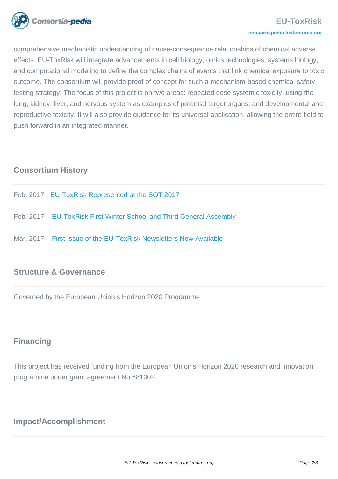

comprehensive mechanistic understanding of cause-consequence relationships of chemical adverse effects. EU-ToxRisk will integrate advancements in cell biology, omics technologies, systems biology, and computational modeling to define the complex chains of events that link chemical exposure to toxic outcome. The consortium will provide proof of concept for such a mechanism-based chemical safety testing strategy. The focus of this project is on two areas: repeated dose systemic toxicity, using the lung, kidney, liver, and nervous system as examples of potential target organs; and developmental and reproductive toxicity. It will also provide guidance for its universal application, allowing the entire field to push forward in an integrated manner.

## **Consortium History**

- Feb. 2017 [EU-ToxRisk Represented at the SOT 2017](http://www.eu-toxrisk.eu/page/post/eu-toxrisk-represented-at-the-sot-201713.php)
- Feb. 2017 – [EU-ToxRisk First Winter School and Third General Assembly](http://www.eu-toxrisk.eu/page/post/eu-toxrisk-first-winter-school-and-third-general-assembly12.php)
- Mar. 2017 – [First Issue of the EU-ToxRisk Newsletters Now Available](http://www.eu-toxrisk.eu/page/post/first-issue-of-the-eu-toxrisk-newsletters-now-available14.php)

## **Structure & Governance**

Governed by the European Union's Horizon 2020 Programme

#### **Financing**

This project has received funding from the European Union's Horizon 2020 research and innovation programme under grant agreement No 681002.

#### **Impact/Accomplishment**